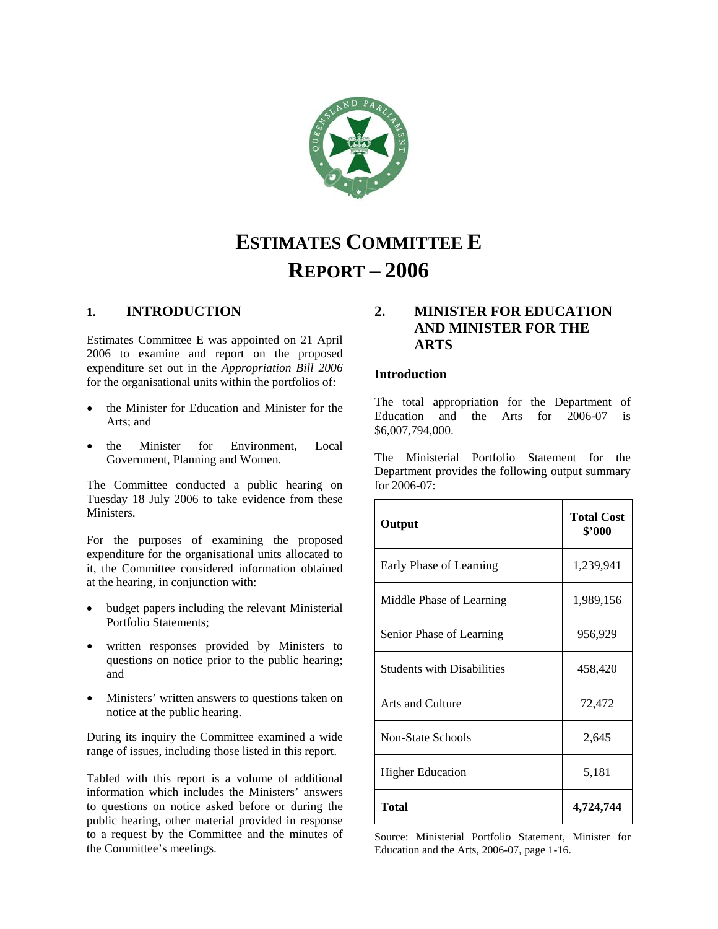

# **ESTIMATES COMMITTEE E REPORT – 2006**

# **1. INTRODUCTION**

Estimates Committee E was appointed on 21 April 2006 to examine and report on the proposed expenditure set out in the *Appropriation Bill 2006* for the organisational units within the portfolios of:

- the Minister for Education and Minister for the Arts; and
- the Minister for Environment, Local Government, Planning and Women.

The Committee conducted a public hearing on Tuesday 18 July 2006 to take evidence from these Ministers.

For the purposes of examining the proposed expenditure for the organisational units allocated to it, the Committee considered information obtained at the hearing, in conjunction with:

- budget papers including the relevant Ministerial Portfolio Statements;
- written responses provided by Ministers to questions on notice prior to the public hearing; and
- Ministers' written answers to questions taken on notice at the public hearing.

During its inquiry the Committee examined a wide range of issues, including those listed in this report.

Tabled with this report is a volume of additional information which includes the Ministers' answers to questions on notice asked before or during the public hearing, other material provided in response to a request by the Committee and the minutes of the Committee's meetings.

# **2. MINISTER FOR EDUCATION AND MINISTER FOR THE ARTS**

### **Introduction**

The total appropriation for the Department of Education and the Arts for 2006-07 is \$6,007,794,000.

The Ministerial Portfolio Statement for the Department provides the following output summary for 2006-07:

| Output                            | <b>Total Cost</b><br>\$'000 |  |
|-----------------------------------|-----------------------------|--|
| Early Phase of Learning           | 1,239,941                   |  |
| Middle Phase of Learning          | 1,989,156                   |  |
| Senior Phase of Learning          | 956,929                     |  |
| <b>Students with Disabilities</b> | 458,420                     |  |
| Arts and Culture                  | 72,472                      |  |
| <b>Non-State Schools</b>          | 2,645                       |  |
| <b>Higher Education</b>           | 5,181                       |  |
| Total                             | 4,724,744                   |  |

Source: Ministerial Portfolio Statement, Minister for Education and the Arts, 2006-07, page 1-16.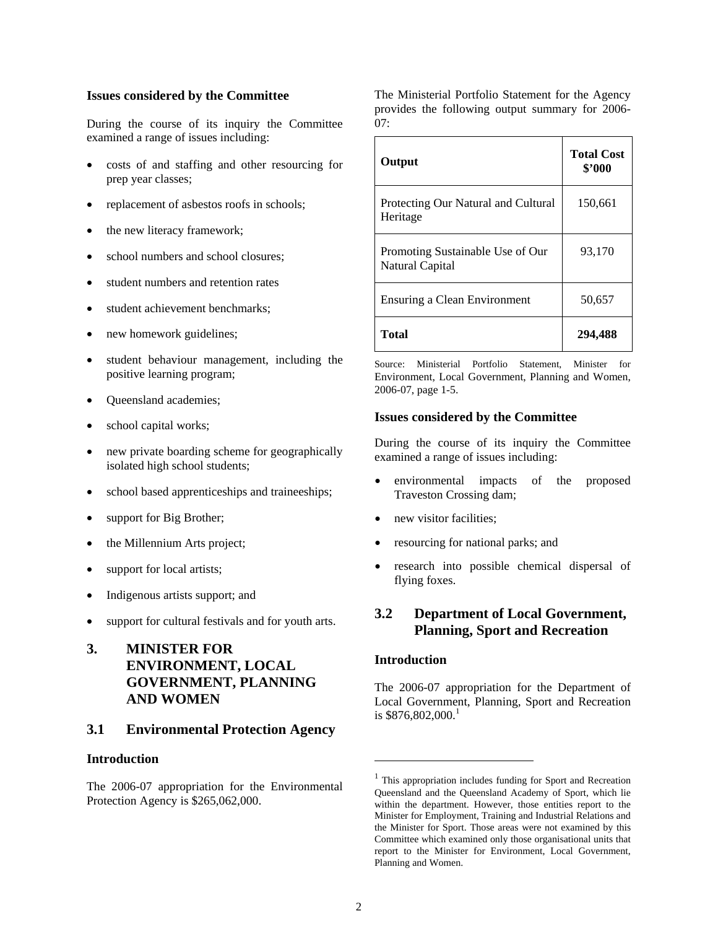### **Issues considered by the Committee**

During the course of its inquiry the Committee examined a range of issues including:

- costs of and staffing and other resourcing for prep year classes;
- replacement of asbestos roofs in schools;
- the new literacy framework;
- school numbers and school closures;
- student numbers and retention rates
- student achievement benchmarks;
- new homework guidelines;
- student behaviour management, including the positive learning program;
- Queensland academies;
- school capital works;
- new private boarding scheme for geographically isolated high school students;
- school based apprenticeships and traineeships;
- support for Big Brother;
- the Millennium Arts project;
- support for local artists;
- Indigenous artists support; and
- support for cultural festivals and for youth arts.
- **3. MINISTER FOR ENVIRONMENT, LOCAL GOVERNMENT, PLANNING AND WOMEN**

# **3.1 Environmental Protection Agency**

### **Introduction**

The 2006-07 appropriation for the Environmental Protection Agency is \$265,062,000.

The Ministerial Portfolio Statement for the Agency provides the following output summary for 2006- 07:

| Output                                              | <b>Total Cost</b><br>\$'000 |
|-----------------------------------------------------|-----------------------------|
| Protecting Our Natural and Cultural<br>Heritage     | 150,661                     |
| Promoting Sustainable Use of Our<br>Natural Capital | 93,170                      |
| Ensuring a Clean Environment                        | 50,657                      |
| <b>Total</b>                                        | 294,488                     |

Source: Ministerial Portfolio Statement, Minister for Environment, Local Government, Planning and Women, 2006-07, page 1-5.

### **Issues considered by the Committee**

During the course of its inquiry the Committee examined a range of issues including:

- environmental impacts of the proposed Traveston Crossing dam;
- new visitor facilities:
- resourcing for national parks; and
- research into possible chemical dispersal of flying foxes.

# **3.2 Department of Local Government, Planning, Sport and Recreation**

### **Introduction**

The 2006-07 appropriation for the Department of Local Government, Planning, Sport and Recreation is  $$876,802,000$ <sup>1</sup>

l

 $\mathbf{r}$ 

<sup>&</sup>lt;sup>1</sup> This appropriation includes funding for Sport and Recreation Queensland and the Queensland Academy of Sport, which lie within the department. However, those entities report to the Minister for Employment, Training and Industrial Relations and the Minister for Sport. Those areas were not examined by this Committee which examined only those organisational units that report to the Minister for Environment, Local Government, Planning and Women.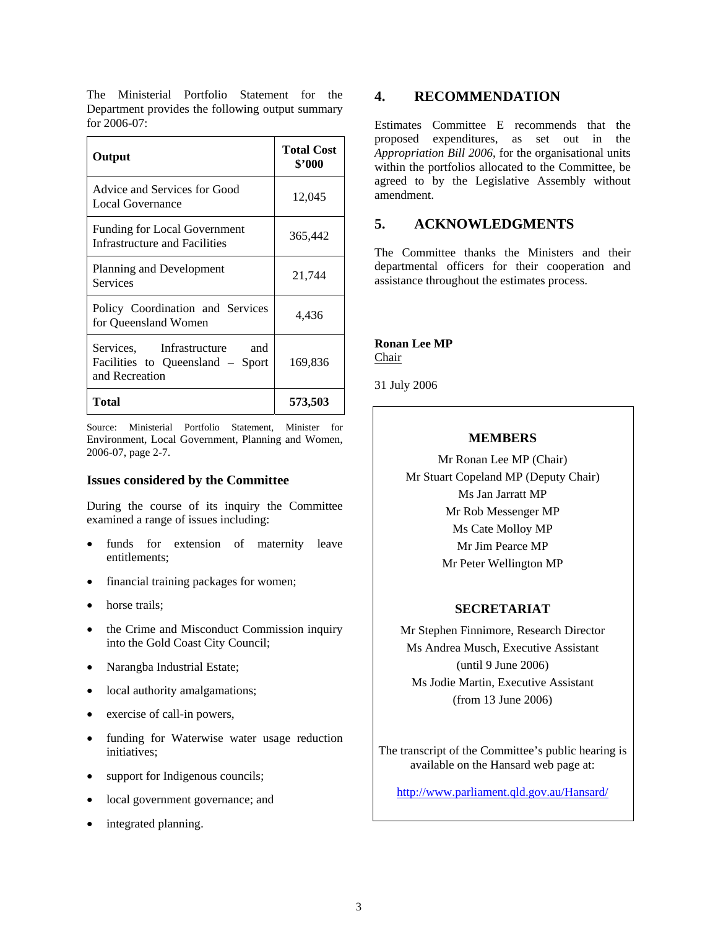| The Ministerial Portfolio Statement for the      |  |  |
|--------------------------------------------------|--|--|
| Department provides the following output summary |  |  |
| for 2006-07:                                     |  |  |

| Output                                                                                | <b>Total Cost</b><br>\$'000 |  |
|---------------------------------------------------------------------------------------|-----------------------------|--|
| Advice and Services for Good<br>Local Governance                                      | 12,045                      |  |
| <b>Funding for Local Government</b><br>Infrastructure and Facilities                  | 365,442                     |  |
| Planning and Development<br><b>Services</b>                                           | 21,744                      |  |
| Policy Coordination and Services<br>for Queensland Women                              | 4,436                       |  |
| Services, Infrastructure<br>and<br>Facilities to Queensland – Sport<br>and Recreation | 169,836                     |  |
| Total                                                                                 | 573,503                     |  |

Source: Ministerial Portfolio Statement, Minister for Environment, Local Government, Planning and Women, 2006-07, page 2-7.

# **Issues considered by the Committee**

During the course of its inquiry the Committee examined a range of issues including:

- funds for extension of maternity leave entitlements;
- financial training packages for women;
- horse trails;
- the Crime and Misconduct Commission inquiry into the Gold Coast City Council;
- Narangba Industrial Estate;
- local authority amalgamations;
- exercise of call-in powers,
- funding for Waterwise water usage reduction initiatives;
- support for Indigenous councils;
- local government governance; and
- integrated planning.

# **4. RECOMMENDATION**

Estimates Committee E recommends that the proposed expenditures, as set out in the *Appropriation Bill 2006*, for the organisational units within the portfolios allocated to the Committee, be agreed to by the Legislative Assembly without amendment.

# **5. ACKNOWLEDGMENTS**

The Committee thanks the Ministers and their departmental officers for their cooperation and assistance throughout the estimates process.

# **Ronan Lee MP**

Chair

31 July 2006

# **MEMBERS**

Mr Ronan Lee MP (Chair) Mr Stuart Copeland MP (Deputy Chair) Ms Jan Jarratt MP Mr Rob Messenger MP Ms Cate Molloy MP Mr Jim Pearce MP Mr Peter Wellington MP

# **SECRETARIAT**

Mr Stephen Finnimore, Research Director Ms Andrea Musch, Executive Assistant (until 9 June 2006) Ms Jodie Martin, Executive Assistant (from 13 June 2006)

The transcript of the Committee's public hearing is available on the Hansard web page at:

http://www.parliament.qld.gov.au/Hansard/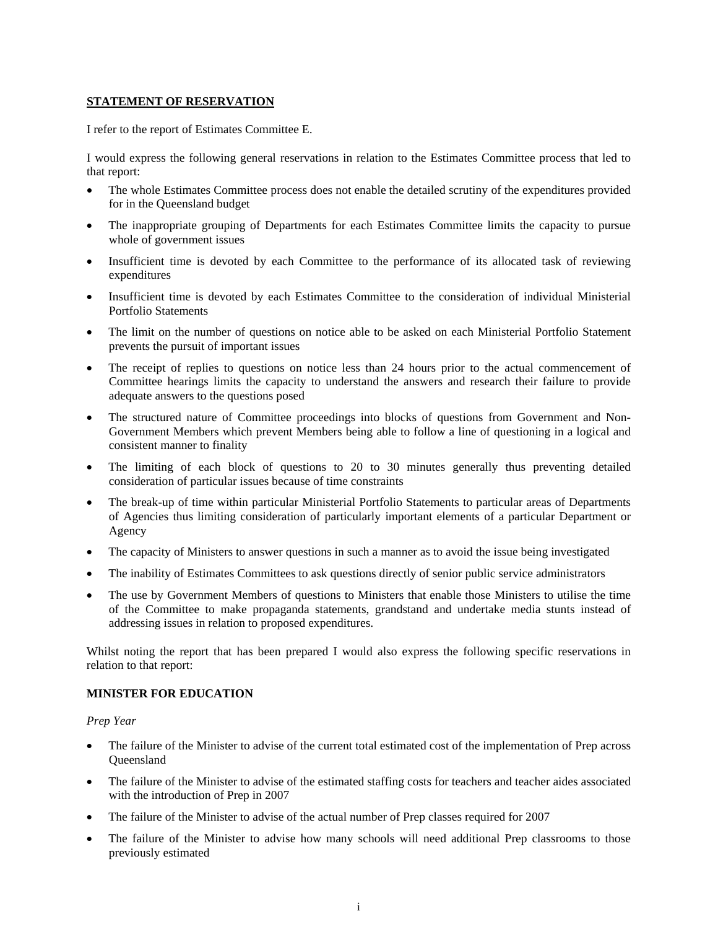### **STATEMENT OF RESERVATION**

I refer to the report of Estimates Committee E.

I would express the following general reservations in relation to the Estimates Committee process that led to that report:

- The whole Estimates Committee process does not enable the detailed scrutiny of the expenditures provided for in the Queensland budget
- The inappropriate grouping of Departments for each Estimates Committee limits the capacity to pursue whole of government issues
- Insufficient time is devoted by each Committee to the performance of its allocated task of reviewing expenditures
- Insufficient time is devoted by each Estimates Committee to the consideration of individual Ministerial Portfolio Statements
- The limit on the number of questions on notice able to be asked on each Ministerial Portfolio Statement prevents the pursuit of important issues
- The receipt of replies to questions on notice less than 24 hours prior to the actual commencement of Committee hearings limits the capacity to understand the answers and research their failure to provide adequate answers to the questions posed
- The structured nature of Committee proceedings into blocks of questions from Government and Non-Government Members which prevent Members being able to follow a line of questioning in a logical and consistent manner to finality
- The limiting of each block of questions to 20 to 30 minutes generally thus preventing detailed consideration of particular issues because of time constraints
- The break-up of time within particular Ministerial Portfolio Statements to particular areas of Departments of Agencies thus limiting consideration of particularly important elements of a particular Department or Agency
- The capacity of Ministers to answer questions in such a manner as to avoid the issue being investigated
- The inability of Estimates Committees to ask questions directly of senior public service administrators
- The use by Government Members of questions to Ministers that enable those Ministers to utilise the time of the Committee to make propaganda statements, grandstand and undertake media stunts instead of addressing issues in relation to proposed expenditures.

Whilst noting the report that has been prepared I would also express the following specific reservations in relation to that report:

### **MINISTER FOR EDUCATION**

### *Prep Year*

- The failure of the Minister to advise of the current total estimated cost of the implementation of Prep across **Oueensland**
- The failure of the Minister to advise of the estimated staffing costs for teachers and teacher aides associated with the introduction of Prep in 2007
- The failure of the Minister to advise of the actual number of Prep classes required for 2007
- The failure of the Minister to advise how many schools will need additional Prep classrooms to those previously estimated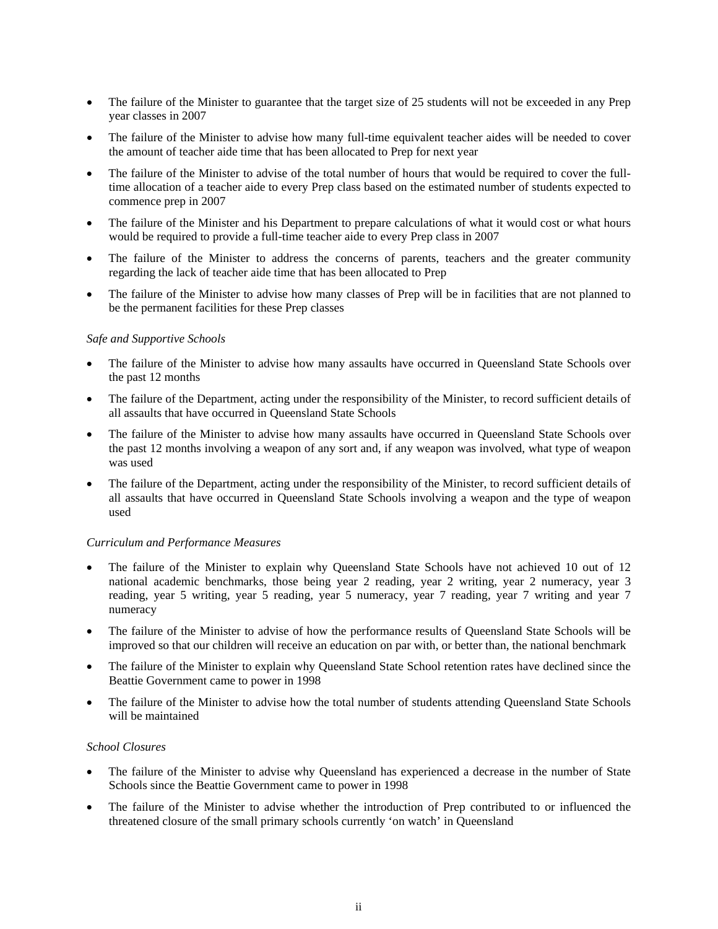- The failure of the Minister to guarantee that the target size of 25 students will not be exceeded in any Prep year classes in 2007
- The failure of the Minister to advise how many full-time equivalent teacher aides will be needed to cover the amount of teacher aide time that has been allocated to Prep for next year
- The failure of the Minister to advise of the total number of hours that would be required to cover the fulltime allocation of a teacher aide to every Prep class based on the estimated number of students expected to commence prep in 2007
- The failure of the Minister and his Department to prepare calculations of what it would cost or what hours would be required to provide a full-time teacher aide to every Prep class in 2007
- The failure of the Minister to address the concerns of parents, teachers and the greater community regarding the lack of teacher aide time that has been allocated to Prep
- The failure of the Minister to advise how many classes of Prep will be in facilities that are not planned to be the permanent facilities for these Prep classes

### *Safe and Supportive Schools*

- The failure of the Minister to advise how many assaults have occurred in Queensland State Schools over the past 12 months
- The failure of the Department, acting under the responsibility of the Minister, to record sufficient details of all assaults that have occurred in Queensland State Schools
- The failure of the Minister to advise how many assaults have occurred in Queensland State Schools over the past 12 months involving a weapon of any sort and, if any weapon was involved, what type of weapon was used
- The failure of the Department, acting under the responsibility of the Minister, to record sufficient details of all assaults that have occurred in Queensland State Schools involving a weapon and the type of weapon used

### *Curriculum and Performance Measures*

- The failure of the Minister to explain why Queensland State Schools have not achieved 10 out of 12 national academic benchmarks, those being year 2 reading, year 2 writing, year 2 numeracy, year 3 reading, year 5 writing, year 5 reading, year 5 numeracy, year 7 reading, year 7 writing and year 7 numeracy
- The failure of the Minister to advise of how the performance results of Queensland State Schools will be improved so that our children will receive an education on par with, or better than, the national benchmark
- The failure of the Minister to explain why Queensland State School retention rates have declined since the Beattie Government came to power in 1998
- The failure of the Minister to advise how the total number of students attending Queensland State Schools will be maintained

### *School Closures*

- The failure of the Minister to advise why Queensland has experienced a decrease in the number of State Schools since the Beattie Government came to power in 1998
- The failure of the Minister to advise whether the introduction of Prep contributed to or influenced the threatened closure of the small primary schools currently 'on watch' in Queensland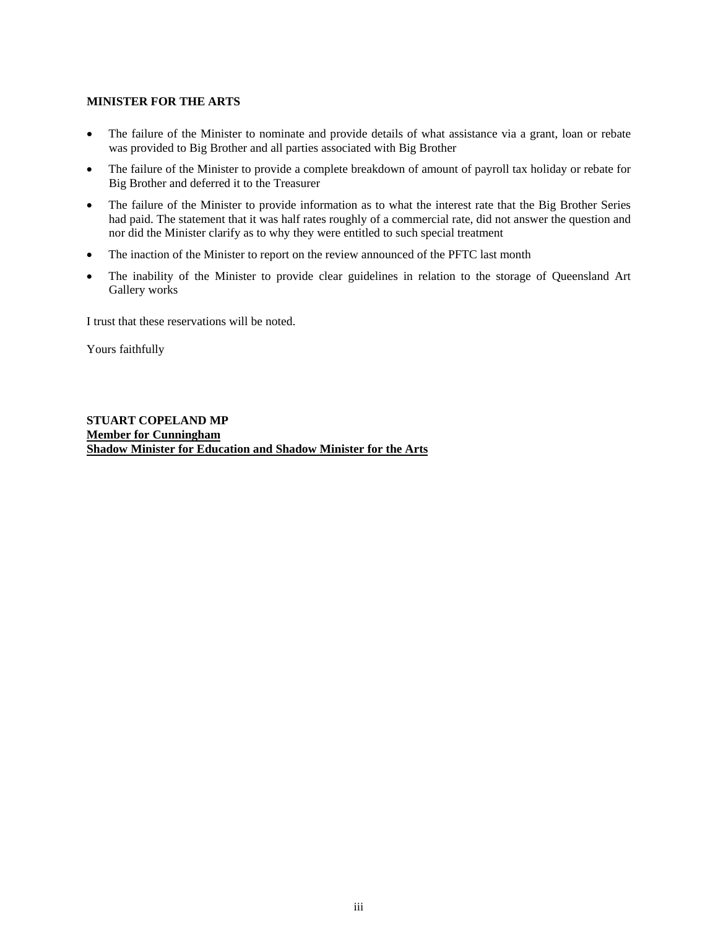### **MINISTER FOR THE ARTS**

- The failure of the Minister to nominate and provide details of what assistance via a grant, loan or rebate was provided to Big Brother and all parties associated with Big Brother
- The failure of the Minister to provide a complete breakdown of amount of payroll tax holiday or rebate for Big Brother and deferred it to the Treasurer
- The failure of the Minister to provide information as to what the interest rate that the Big Brother Series had paid. The statement that it was half rates roughly of a commercial rate, did not answer the question and nor did the Minister clarify as to why they were entitled to such special treatment
- The inaction of the Minister to report on the review announced of the PFTC last month
- The inability of the Minister to provide clear guidelines in relation to the storage of Queensland Art Gallery works

I trust that these reservations will be noted.

Yours faithfully

**STUART COPELAND MP Member for Cunningham Shadow Minister for Education and Shadow Minister for the Arts**